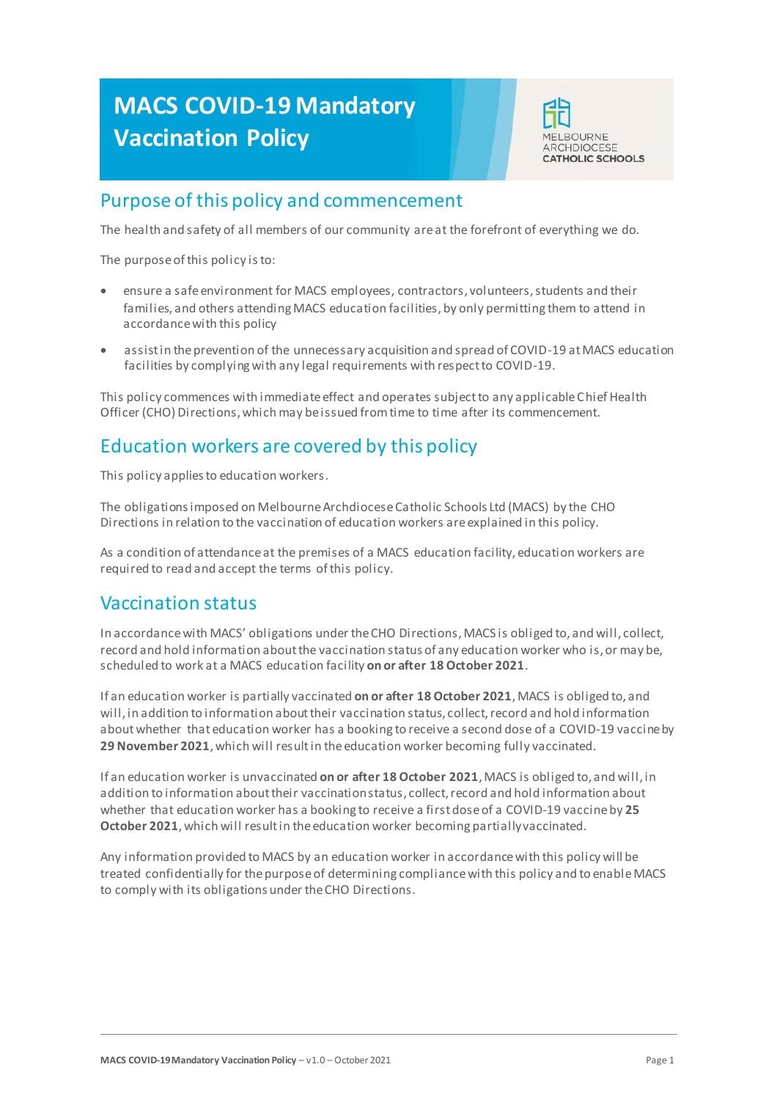# **MACS COVID-19 Mandatory Vaccination Policy**



# Purpose of this policy and commencement

The health and safety of all members of our community areat the forefront of everything we do.

The purpose of this policy isto:

- ensure a safe environment for MACS employees, contractors, volunteers, students and their families, and others attending MACS education facilities, by only permitting them to attend in accordance with this policy
- assist in the prevention of the unnecessary acquisition and spread of COVID-19 at MACS education facilities by complying with any legal requirements with respect to COVID-19.

This policy commences with immediate effect and operates subject to any applicable Chief Health Officer (CHO) Directions, which may be issued from time to time after its commencement.

# Education workers are covered by this policy

This policy applies to education workers.

The obligations imposed on Melbourne Archdiocese Catholic Schools Ltd (MACS) by the CHO Directions in relation to the vaccination of education workers are explained in this policy.

As a condition of attendance at the premises of a MACS education facility, education workers are required to read and accept the terms of this policy.

# Vaccination status

In accordance with MACS' obligations under the CHO Directions, MACS is obliged to, and will, collect, record and hold information about the vaccination status of any education worker who is, or may be, scheduled to work at a MACS education facility **on or after 18 October 2021**.

If an education worker is partially vaccinated **on or after 18 October 2021**, MACS is obliged to, and will, in addition to information about their vaccination status, collect, record and hold information about whether that education worker has a booking to receive a second dose of a COVID-19 vaccine by 29 November 2021, which will result in the education worker becoming fully vaccinated.

If an education worker is unvaccinated **on or after 18 October 2021**, MACS is obliged to, and will, in addition to information about their vaccination status, collect, record and hold information about whether that education worker has a booking to receive a first dose of a COVID-19 vaccine by **25 October 2021**,which will result in the education worker becoming partially vaccinated.

Any information provided to MACS by an education worker in accordance with this policy will be treated confidentially for the purpose of determining compliance with this policy and to enable MACS to comply with its obligations under the CHO Directions.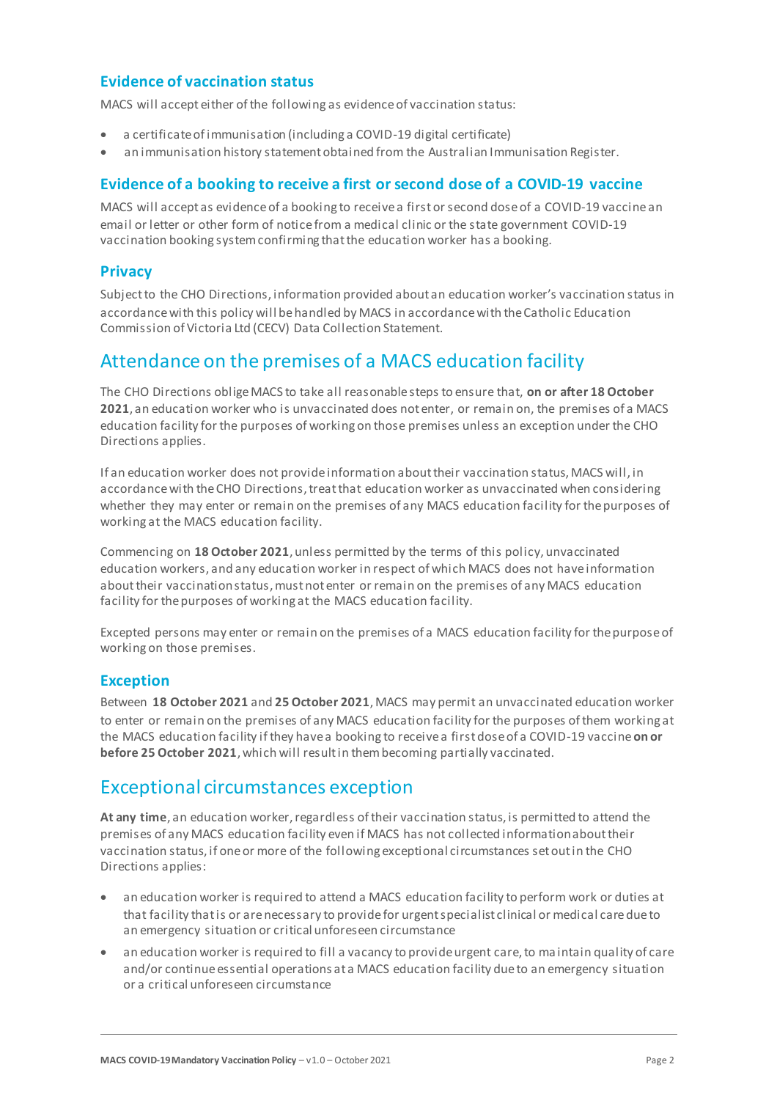## **Evidence of vaccination status**

MACS will accept either of the following as evidence of vaccination status:

- a certificate of immunisation (including a COVID-19 digital certificate)
- an immunisation history statement obtained from the Australian Immunisation Register.

## **Evidence of a booking to receive a first or second dose of a COVID-19 vaccine**

MACS will accept as evidence of a booking to receive a first or second dose of a COVID-19 vaccine an email or letter or other form of notice from a medical clinic or the state government COVID-19 vaccination booking system confirming that the education worker has a booking.

### **Privacy**

Subject to the CHO Directions, information provided about an education worker's vaccination status in accordance with this policy will be handled by MACS in accordance with the Catholic Education Commission of Victoria Ltd (CECV) Data Collection Statement.

## Attendance on the premises of a MACS education facility

The CHO Directions oblige MACS to take all reasonable steps to ensure that, **on or after 18 October 2021**, an education worker who is unvaccinated does not enter, or remain on, the premises of a MACS education facility for the purposes of working on those premises unless an exception under the CHO Directions applies.

If an education worker does not provide information about their vaccination status, MACS will, in accordance with the CHO Directions, treat that education worker as unvaccinated when considering whether they may enter or remain on the premises of any MACS education facility for the purposes of working at the MACS education facility.

Commencing on **18 October 2021**, unless permitted by the terms of this policy, unvaccinated education workers, and any education worker in respect of which MACS does not have information about their vaccination status, must not enter or remain on the premises of any MACS education facility for the purposes of working at the MACS education facility.

Excepted persons may enter or remain on the premises of a MACS education facility for the purpose of working on those premises.

### **Exception**

Between **18 October 2021** and **25 October 2021**, MACS may permit an unvaccinated education worker to enter or remain on the premises of any MACS education facility for the purposes of them working at the MACS education facility if they have a booking to receive a first dose of a COVID-19 vaccine **on or before 25 October 2021**,which will result in them becoming partially vaccinated.

## Exceptional circumstances exception

**At any time**, an education worker, regardless of their vaccination status, is permitted to attend the premises of any MACS education facility even if MACS has not collected information about their vaccination status, if one or more of the following exceptional circumstances set out in the CHO Directions applies:

- an education worker is required to attend a MACS education facility to perform work or duties at that facility that is or are necessary to provide for urgent specialist clinical or medical care due to an emergency situation or critical unforeseen circumstance
- an education worker is required to fill a vacancy to provide urgent care, to maintain quality of care and/or continue essential operations at a MACS education facility due to an emergency situation or a critical unforeseen circumstance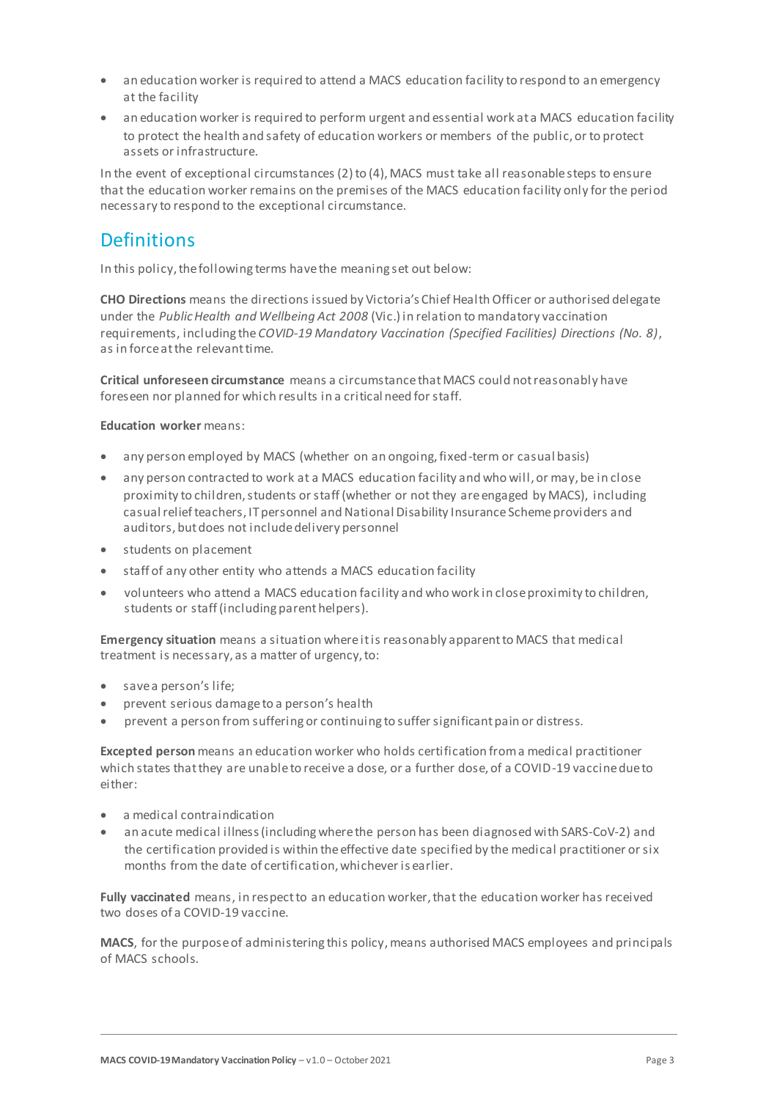- an education worker is required to attend a MACS education facility to respond to an emergency at the facility
- an education worker is required to perform urgent and essential work at a MACS education facility to protect the health and safety of education workers or members of the public, or to protect assets or infrastructure.

In the event of exceptional circumstances (2) to (4), MACS must take all reasonable steps to ensure that the education worker remains on the premises of the MACS education facility only for the period necessary to respond to the exceptional circumstance.

# **Definitions**

In this policy, the following terms have the meaning set out below:

**CHO Directions** means the directions issued by Victoria's Chief Health Officer or authorised delegate under the *Public Health and Wellbeing Act 2008* (Vic.) in relation to mandatory vaccination requirements, including the *COVID-19 Mandatory Vaccination (Specified Facilities) Directions (No. 8)*, as in force at the relevant time.

**Critical unforeseen circumstance** means a circumstance that MACS could not reasonably have foreseen nor planned for which results in a critical need for staff.

#### **Education worker** means:

- any person employed by MACS (whether on an ongoing, fixed-term or casual basis)
- any person contracted to work at a MACS education facility and who will, or may, be in close proximity to children, students or staff (whether or not they are engaged by MACS), including casual relief teachers, IT personnel and National Disability Insurance Scheme providers and auditors, but does not include delivery personnel
- students on placement
- staff of any other entity who attends a MACS education facility
- volunteers who attend a MACS education facility and who work in close proximity to children, students or staff (including parent helpers).

**Emergency situation** means a situation where it is reasonably apparent to MACS that medical treatment is necessary, as a matter of urgency, to:

- save a person's life;
- prevent serious damage to a person's health
- prevent a person from suffering or continuing to suffer significant pain or distress.

**Excepted person** means an education worker who holds certification from a medical practitioner which states that they are unable to receive a dose, or a further dose, of a COVID-19 vaccine due to either:

- a medical contraindication
- an acute medical illness (including where the person has been diagnosed with SARS-CoV-2) and the certification provided is within the effective date specified by the medical practitioner or six months from the date of certification, whichever is earlier.

**Fully vaccinated** means, in respect to an education worker, that the education worker has received two doses of a COVID-19 vaccine.

MACS, for the purpose of administering this policy, means authorised MACS employees and principals of MACS schools.